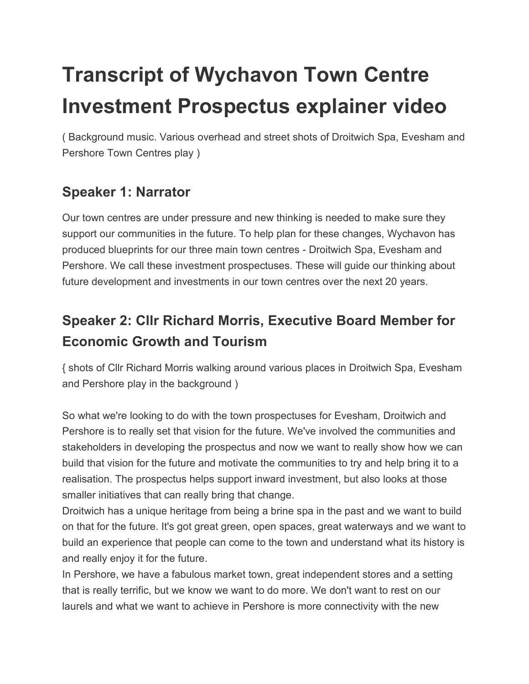# **Transcript of Wychavon Town Centre Investment Prospectus explainer video**

( Background music. Various overhead and street shots of Droitwich Spa, Evesham and Pershore Town Centres play )

# **Speaker 1: Narrator**

Our town centres are under pressure and new thinking is needed to make sure they support our communities in the future. To help plan for these changes, Wychavon has produced blueprints for our three main town centres - Droitwich Spa, Evesham and Pershore. We call these investment prospectuses. These will guide our thinking about future development and investments in our town centres over the next 20 years.

# **Speaker 2: Cllr Richard Morris, Executive Board Member for Economic Growth and Tourism**

{ shots of Cllr Richard Morris walking around various places in Droitwich Spa, Evesham and Pershore play in the background )

So what we're looking to do with the town prospectuses for Evesham, Droitwich and Pershore is to really set that vision for the future. We've involved the communities and stakeholders in developing the prospectus and now we want to really show how we can build that vision for the future and motivate the communities to try and help bring it to a realisation. The prospectus helps support inward investment, but also looks at those smaller initiatives that can really bring that change.

Droitwich has a unique heritage from being a brine spa in the past and we want to build on that for the future. It's got great green, open spaces, great waterways and we want to build an experience that people can come to the town and understand what its history is and really enjoy it for the future.

In Pershore, we have a fabulous market town, great independent stores and a setting that is really terrific, but we know we want to do more. We don't want to rest on our laurels and what we want to achieve in Pershore is more connectivity with the new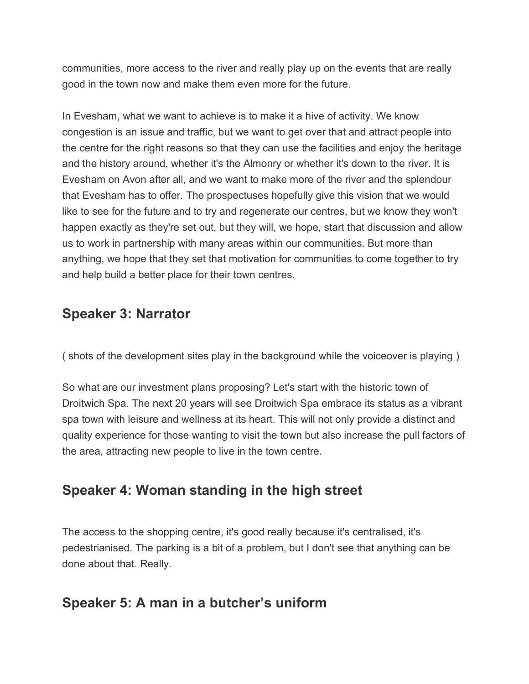communities, more access to the river and really play up on the events that are really good in the town now and make them even more for the future.

In Evesham, what we want to achieve is to make it a hive of activity. We know congestion is an issue and traffic, but we want to get over that and attract people into the centre for the right reasons so that they can use the facilities and enjoy the heritage and the history around, whether it's the Almonry or whether it's down to the river. It is Evesham on Avon after all, and we want to make more of the river and the splendour that Evesham has to offer. The prospectuses hopefully give this vision that we would like to see for the future and to try and regenerate our centres, but we know they won't happen exactly as they're set out, but they will, we hope, start that discussion and allow us to work in partnership with many areas within our communities. But more than anything, we hope that they set that motivation for communities to come together to try and help build a better place for their town centres.

#### **Speaker 3: Narrator**

( shots of the development sites play in the background while the voiceover is playing )

So what are our investment plans proposing? Let's start with the historic town of Droitwich Spa. The next 20 years will see Droitwich Spa embrace its status as a vibrant spa town with leisure and wellness at its heart. This will not only provide a distinct and quality experience for those wanting to visit the town but also increase the pull factors of the area, attracting new people to live in the town centre.

# **Speaker 4: Woman standing in the high street**

The access to the shopping centre, it's good really because it's centralised, it's pedestrianised. The parking is a bit of a problem, but I don't see that anything can be done about that. Really.

#### **Speaker 5: A man in a butcher's uniform**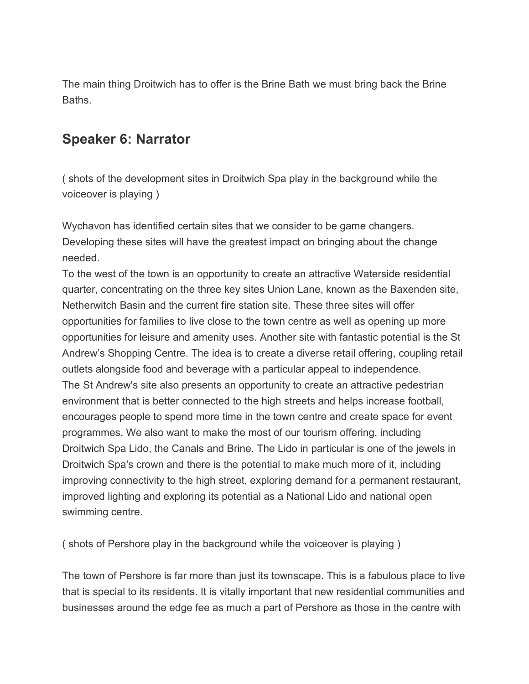The main thing Droitwich has to offer is the Brine Bath we must bring back the Brine Baths.

#### **Speaker 6: Narrator**

( shots of the development sites in Droitwich Spa play in the background while the voiceover is playing )

Wychavon has identified certain sites that we consider to be game changers. Developing these sites will have the greatest impact on bringing about the change needed.

To the west of the town is an opportunity to create an attractive Waterside residential quarter, concentrating on the three key sites Union Lane, known as the Baxenden site, Netherwitch Basin and the current fire station site. These three sites will offer opportunities for families to live close to the town centre as well as opening up more opportunities for leisure and amenity uses. Another site with fantastic potential is the St Andrew's Shopping Centre. The idea is to create a diverse retail offering, coupling retail outlets alongside food and beverage with a particular appeal to independence. The St Andrew's site also presents an opportunity to create an attractive pedestrian environment that is better connected to the high streets and helps increase football, encourages people to spend more time in the town centre and create space for event programmes. We also want to make the most of our tourism offering, including Droitwich Spa Lido, the Canals and Brine. The Lido in particular is one of the jewels in Droitwich Spa's crown and there is the potential to make much more of it, including improving connectivity to the high street, exploring demand for a permanent restaurant, improved lighting and exploring its potential as a National Lido and national open swimming centre.

( shots of Pershore play in the background while the voiceover is playing )

The town of Pershore is far more than just its townscape. This is a fabulous place to live that is special to its residents. It is vitally important that new residential communities and businesses around the edge fee as much a part of Pershore as those in the centre with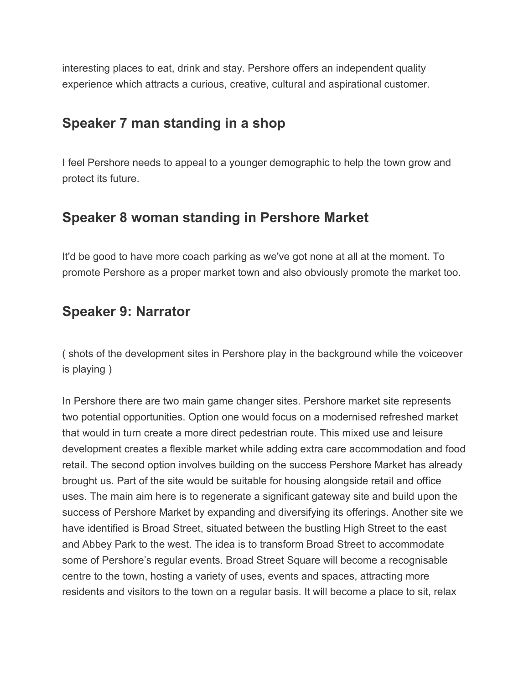interesting places to eat, drink and stay. Pershore offers an independent quality experience which attracts a curious, creative, cultural and aspirational customer.

# **Speaker 7 man standing in a shop**

I feel Pershore needs to appeal to a younger demographic to help the town grow and protect its future.

#### **Speaker 8 woman standing in Pershore Market**

It'd be good to have more coach parking as we've got none at all at the moment. To promote Pershore as a proper market town and also obviously promote the market too.

#### **Speaker 9: Narrator**

( shots of the development sites in Pershore play in the background while the voiceover is playing )

In Pershore there are two main game changer sites. Pershore market site represents two potential opportunities. Option one would focus on a modernised refreshed market that would in turn create a more direct pedestrian route. This mixed use and leisure development creates a flexible market while adding extra care accommodation and food retail. The second option involves building on the success Pershore Market has already brought us. Part of the site would be suitable for housing alongside retail and office uses. The main aim here is to regenerate a significant gateway site and build upon the success of Pershore Market by expanding and diversifying its offerings. Another site we have identified is Broad Street, situated between the bustling High Street to the east and Abbey Park to the west. The idea is to transform Broad Street to accommodate some of Pershore's regular events. Broad Street Square will become a recognisable centre to the town, hosting a variety of uses, events and spaces, attracting more residents and visitors to the town on a regular basis. It will become a place to sit, relax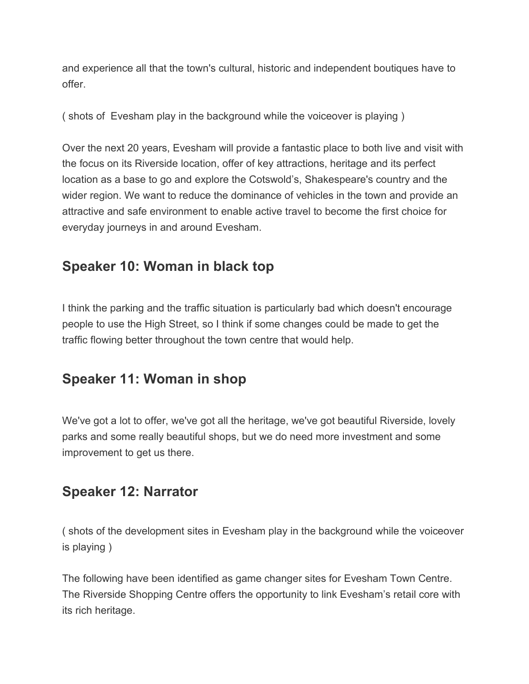and experience all that the town's cultural, historic and independent boutiques have to offer.

( shots of Evesham play in the background while the voiceover is playing )

Over the next 20 years, Evesham will provide a fantastic place to both live and visit with the focus on its Riverside location, offer of key attractions, heritage and its perfect location as a base to go and explore the Cotswold's, Shakespeare's country and the wider region. We want to reduce the dominance of vehicles in the town and provide an attractive and safe environment to enable active travel to become the first choice for everyday journeys in and around Evesham.

# **Speaker 10: Woman in black top**

I think the parking and the traffic situation is particularly bad which doesn't encourage people to use the High Street, so I think if some changes could be made to get the traffic flowing better throughout the town centre that would help.

# **Speaker 11: Woman in shop**

We've got a lot to offer, we've got all the heritage, we've got beautiful Riverside, lovely parks and some really beautiful shops, but we do need more investment and some improvement to get us there.

#### **Speaker 12: Narrator**

( shots of the development sites in Evesham play in the background while the voiceover is playing )

The following have been identified as game changer sites for Evesham Town Centre. The Riverside Shopping Centre offers the opportunity to link Evesham's retail core with its rich heritage.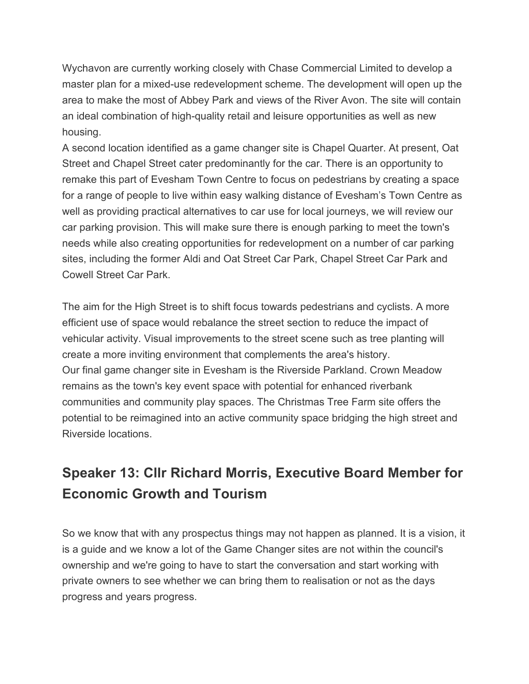Wychavon are currently working closely with Chase Commercial Limited to develop a master plan for a mixed-use redevelopment scheme. The development will open up the area to make the most of Abbey Park and views of the River Avon. The site will contain an ideal combination of high-quality retail and leisure opportunities as well as new housing.

A second location identified as a game changer site is Chapel Quarter. At present, Oat Street and Chapel Street cater predominantly for the car. There is an opportunity to remake this part of Evesham Town Centre to focus on pedestrians by creating a space for a range of people to live within easy walking distance of Evesham's Town Centre as well as providing practical alternatives to car use for local journeys, we will review our car parking provision. This will make sure there is enough parking to meet the town's needs while also creating opportunities for redevelopment on a number of car parking sites, including the former Aldi and Oat Street Car Park, Chapel Street Car Park and Cowell Street Car Park.

The aim for the High Street is to shift focus towards pedestrians and cyclists. A more efficient use of space would rebalance the street section to reduce the impact of vehicular activity. Visual improvements to the street scene such as tree planting will create a more inviting environment that complements the area's history. Our final game changer site in Evesham is the Riverside Parkland. Crown Meadow remains as the town's key event space with potential for enhanced riverbank communities and community play spaces. The Christmas Tree Farm site offers the potential to be reimagined into an active community space bridging the high street and Riverside locations.

# **Speaker 13: Cllr Richard Morris, Executive Board Member for Economic Growth and Tourism**

So we know that with any prospectus things may not happen as planned. It is a vision, it is a guide and we know a lot of the Game Changer sites are not within the council's ownership and we're going to have to start the conversation and start working with private owners to see whether we can bring them to realisation or not as the days progress and years progress.